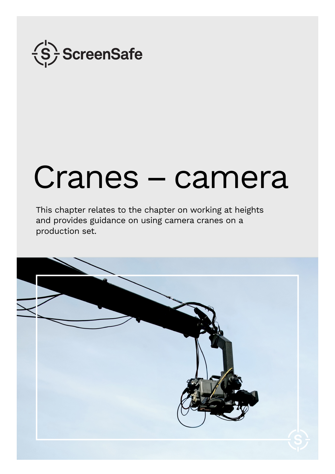

# Cranes – camera

This chapter relates to the chapter on working at heights and provides guidance on using camera cranes on a production set.

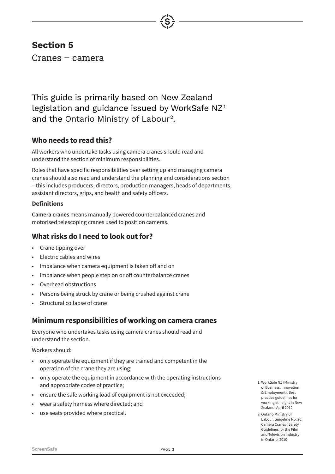# **Section 5**

Cranes – camera

This guide is primarily based on New Zealand legislation and guidance issued by WorkSafe  $NZ<sup>1</sup>$ and the <u>Ontario Ministry of Labour</u><sup>2</sup>.

## **Who needs to read this?**

All workers who undertake tasks using camera cranes should read and understand the section of minimum responsibilities.

Roles that have specific responsibilities over setting up and managing camera cranes should also read and understand the planning and considerations section – this includes producers, directors, production managers, heads of departments, assistant directors, grips, and health and safety officers.

### **Definitions**

**Camera cranes** means manually powered counterbalanced cranes and motorised telescoping cranes used to position cameras.

## **What risks do I need to look out for?**

- Crane tipping over
- Electric cables and wires
- Imbalance when camera equipment is taken off and on
- Imbalance when people step on or off counterbalance cranes
- Overhead obstructions
- Persons being struck by crane or being crushed against crane
- Structural collapse of crane

## **Minimum responsibilities of working on camera cranes**

Everyone who undertakes tasks using camera cranes should read and understand the section.

Workers should:

- only operate the equipment if they are trained and competent in the operation of the crane they are using;
- only operate the equipment in accordance with the operating instructions and appropriate codes of practice;
- ensure the safe working load of equipment is not exceeded;
- wear a safety harness where directed; and
- use seats provided where practical.
- 1. WorkSafe NZ (Ministry of Business, Innovation & Employment). Best practice guidelines for working at height in New Zealand. April 2012
- 2. Ontario Ministry of Labour. Guideline No. 20: Camera Cranes | Safety Guidelines for the Film and Television Industry in Ontario. 2010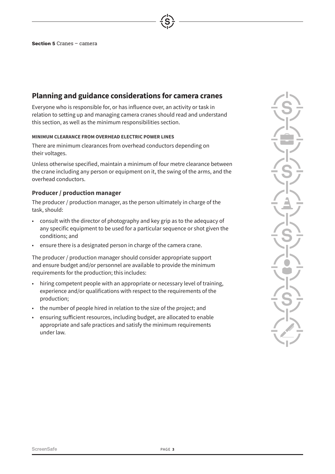## **Planning and guidance considerations for camera cranes**

Everyone who is responsible for, or has influence over, an activity or task in relation to setting up and managing camera cranes should read and understand this section, as well as the minimum responsibilities section.

#### <span id="page-2-0"></span>**MINIMUM CLEARANCE FROM OVERHEAD ELECTRIC POWER LINES**

There are minimum clearances from overhead conductors depending on their voltages.

Unless otherwise specified, maintain a minimum of four metre clearance between the crane including any person or equipment on it, the swing of the arms, and the overhead conductors.

#### **Producer / production manager**

The producer / production manager, as the person ultimately in charge of the task, should:

- consult with the director of photography and key grip as to the adequacy of any specific equipment to be used for a particular sequence or shot given the conditions; and
- ensure there is a designated person in charge of the camera crane.

The producer / production manager should consider appropriate support and ensure budget and/or personnel are available to provide the minimum requirements for the production; this includes:

- hiring competent people with an appropriate or necessary level of training, experience and/or qualifications with respect to the requirements of the production;
- the number of people hired in relation to the size of the project; and
- ensuring sufficient resources, including budget, are allocated to enable appropriate and safe practices and satisfy the minimum requirements under law.